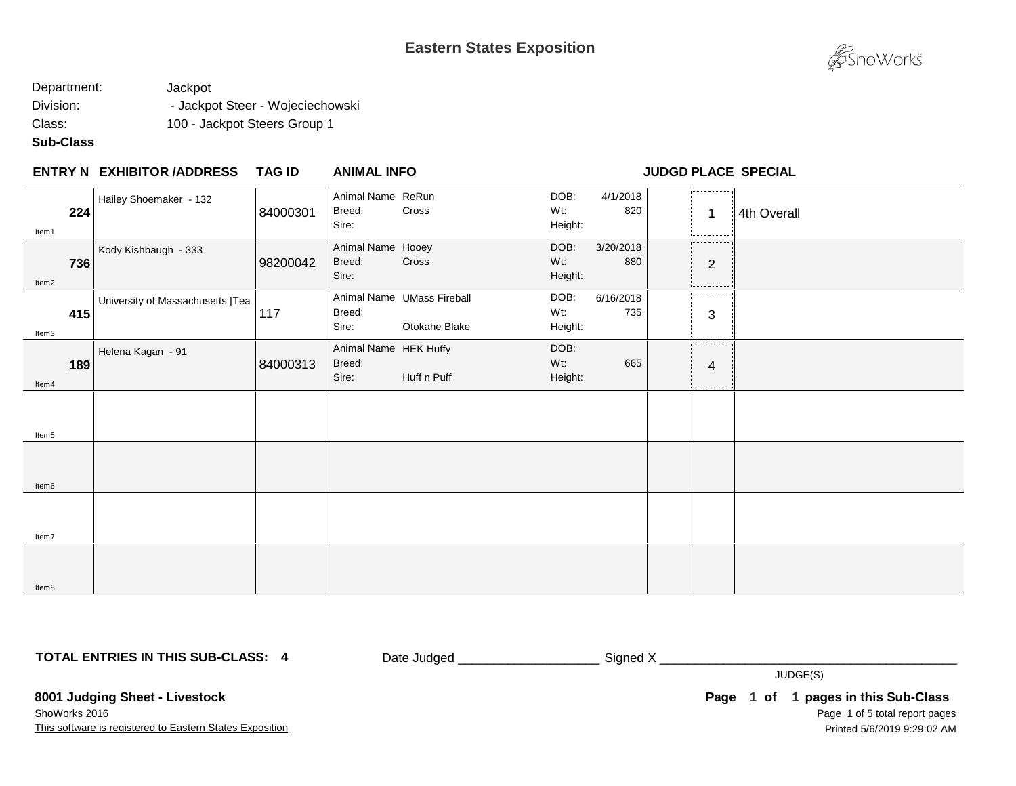# **Eastern States Exposition**



## Department: Jackpot Division: - Jackpot Steer - Wojeciechowski Class: 100 - Jackpot Steers Group 1

### **Sub-Class**

#### **EXHIBITOR /ADDRESS TAG ID ENTRY N ANIMAL INFO JUDGD PLACE SPECIAL**

| Item1 | 224 | Hailey Shoemaker - 132           | 84000301 | Animal Name ReRun<br>Breed:<br>Sire:     | Cross                                       | DOB:<br>Wt:<br>Height: | 4/1/2018<br>820  | .<br>-1<br>--------- | 4th Overall |
|-------|-----|----------------------------------|----------|------------------------------------------|---------------------------------------------|------------------------|------------------|----------------------|-------------|
| Item2 | 736 | Kody Kishbaugh - 333             | 98200042 | Animal Name Hooey<br>Breed:<br>Sire:     | Cross                                       | DOB:<br>Wt:<br>Height: | 3/20/2018<br>880 | ---------<br>2       |             |
| Item3 | 415 | University of Massachusetts [Tea | 117      | Breed:<br>Sire:                          | Animal Name UMass Fireball<br>Otokahe Blake | DOB:<br>Wt:<br>Height: | 6/16/2018<br>735 | ----------<br>3<br>. |             |
| Item4 | 189 | Helena Kagan - 91                | 84000313 | Animal Name HEK Huffy<br>Breed:<br>Sire: | Huff n Puff                                 | DOB:<br>Wt:<br>Height: | 665              | .<br>4<br>---------  |             |
| Item5 |     |                                  |          |                                          |                                             |                        |                  |                      |             |
| Item6 |     |                                  |          |                                          |                                             |                        |                  |                      |             |
| Item7 |     |                                  |          |                                          |                                             |                        |                  |                      |             |
| Item8 |     |                                  |          |                                          |                                             |                        |                  |                      |             |

**TOTAL ENTRIES IN THIS SUB-CLASS: 4**

Date Judged \_\_\_\_\_\_\_\_\_\_\_\_\_\_\_\_\_\_\_\_\_\_\_\_\_\_\_\_ Signed X \_\_\_\_\_\_\_\_\_\_\_\_\_\_\_\_\_\_\_\_\_\_\_\_\_\_\_\_\_\_

JUDGE(S)

**8001 Judging Sheet - Livestock** ShoWorks 2016

This software is registered to Eastern States Exposition

Page 1 of 5 total report pages Page 1 of 1 pages in this Sub-Class Printed 5/6/2019 9:29:02 AM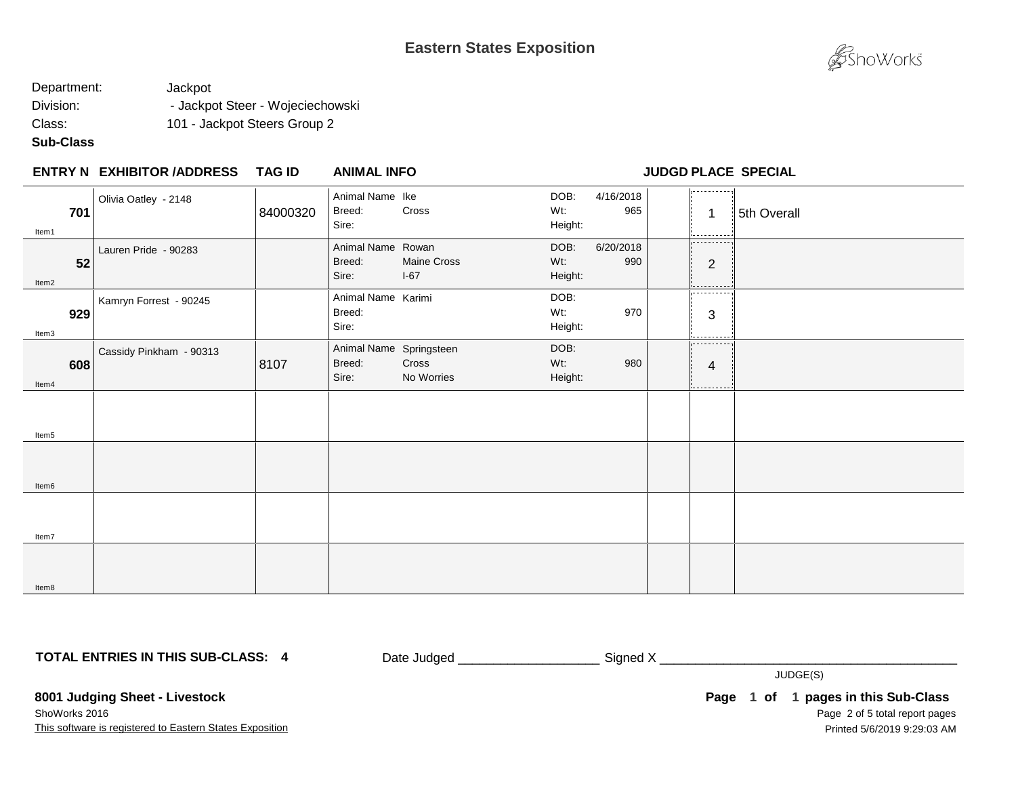# **Eastern States Exposition**



## Department: Jackpot Division: - Jackpot Steer - Wojeciechowski Class: 101 - Jackpot Steers Group 2

### **Sub-Class**

#### **EXHIBITOR /ADDRESS TAG ID ENTRY N ANIMAL INFO JUDGD PLACE SPECIAL**

| Item1 | 701 | Olivia Oatley - 2148    | 84000320 | Animal Name Ike<br>Breed:<br>Sire:         | Cross                        | DOB:<br>Wt:<br>Height: | 4/16/2018<br>965 | وماما ماما ما ما مايورا<br>$\overline{\mathbf{1}}$<br>-------- | 5th Overall |
|-------|-----|-------------------------|----------|--------------------------------------------|------------------------------|------------------------|------------------|----------------------------------------------------------------|-------------|
| Item2 | 52  | Lauren Pride - 90283    |          | Animal Name Rowan<br>Breed:<br>Sire:       | <b>Maine Cross</b><br>$I-67$ | DOB:<br>Wt:<br>Height: | 6/20/2018<br>990 | ----------<br>2<br>----------                                  |             |
| Item3 | 929 | Kamryn Forrest - 90245  |          | Animal Name Karimi<br>Breed:<br>Sire:      |                              | DOB:<br>Wt:<br>Height: | 970              | ----------<br>$\sqrt{3}$<br>                                   |             |
| Item4 | 608 | Cassidy Pinkham - 90313 | 8107     | Animal Name Springsteen<br>Breed:<br>Sire: | Cross<br>No Worries          | DOB:<br>Wt:<br>Height: | 980              | ---------<br>$\overline{4}$<br>----------                      |             |
| Item5 |     |                         |          |                                            |                              |                        |                  |                                                                |             |
| Item6 |     |                         |          |                                            |                              |                        |                  |                                                                |             |
| Item7 |     |                         |          |                                            |                              |                        |                  |                                                                |             |
| Item8 |     |                         |          |                                            |                              |                        |                  |                                                                |             |

**TOTAL ENTRIES IN THIS SUB-CLASS: 4**

Date Judged \_\_\_\_\_\_\_\_\_\_\_\_\_\_\_\_\_\_\_\_\_\_\_\_\_\_\_\_\_\_Signed X \_\_\_\_\_\_\_\_\_\_\_\_\_\_\_\_\_\_\_\_\_\_\_\_\_\_\_\_\_

JUDGE(S)

**8001 Judging Sheet - Livestock**

This software is registered to Eastern States Exposition ShoWorks 2016

Page 2 of 5 total report pages Page 1 of 1 pages in this Sub-Class Printed 5/6/2019 9:29:03 AM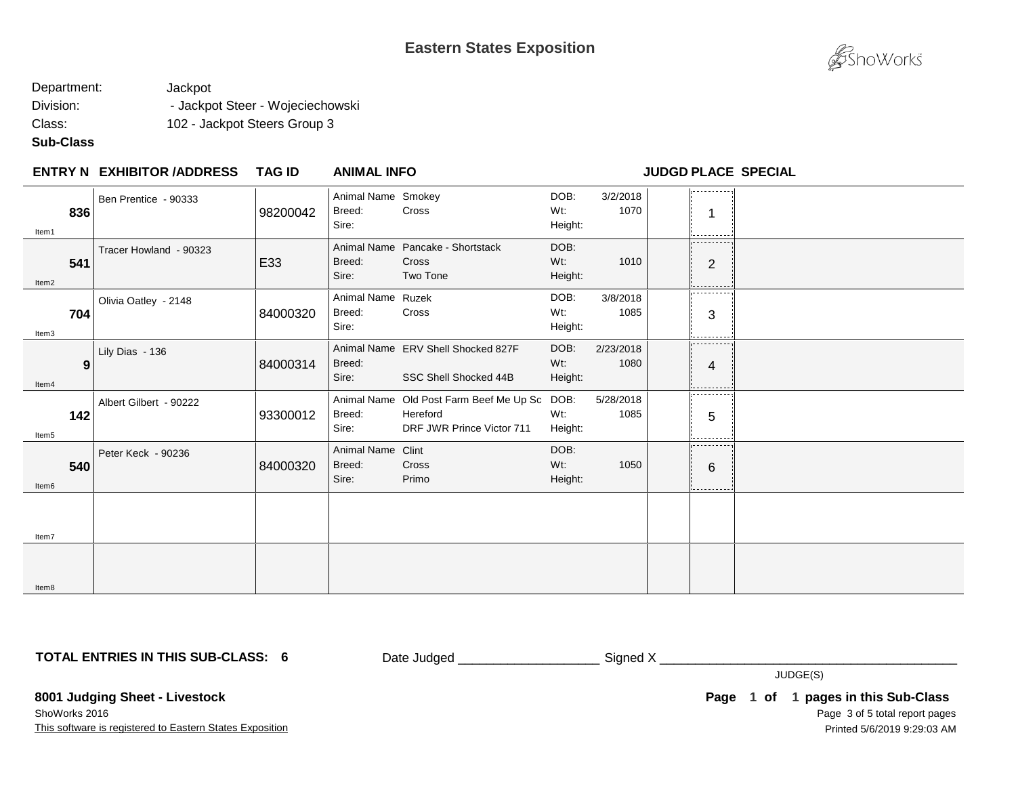

## Department: Jackpot Division: - Jackpot Steer - Wojeciechowski Class: 102 - Jackpot Steers Group 3

#### **Sub-Class**

#### **EXHIBITOR /ADDRESS TAG ID ENTRY N ANIMAL INFO JUDGD PLACE SPECIAL**

| Item1             | 836 | Ben Prentice - 90333   | 98200042 | Animal Name Smokey<br>Breed:<br>Sire: | Cross                                                                                 | DOB:<br>Wt:<br>Height: | 3/2/2018<br>1070  | .<br>.          |  |
|-------------------|-----|------------------------|----------|---------------------------------------|---------------------------------------------------------------------------------------|------------------------|-------------------|-----------------|--|
| Item2             | 541 | Tracer Howland - 90323 | E33      | Breed:<br>Sire:                       | Animal Name Pancake - Shortstack<br>Cross<br>Two Tone                                 | DOB:<br>Wt:<br>Height: | 1010              | ----------<br>2 |  |
| Item3             | 704 | Olivia Oatley - 2148   | 84000320 | Animal Name Ruzek<br>Breed:<br>Sire:  | Cross                                                                                 | DOB:<br>Wt:<br>Height: | 3/8/2018<br>1085  | ----------<br>3 |  |
| Item4             | 9   | Lily Dias - 136        | 84000314 | Breed:<br>Sire:                       | Animal Name ERV Shell Shocked 827F<br>SSC Shell Shocked 44B                           | DOB:<br>Wt:<br>Height: | 2/23/2018<br>1080 | 4<br>--------   |  |
| Item5             | 142 | Albert Gilbert - 90222 | 93300012 | Breed:<br>Sire:                       | Animal Name Old Post Farm Beef Me Up Sc DOB:<br>Hereford<br>DRF JWR Prince Victor 711 | Wt:<br>Height:         | 5/28/2018<br>1085 | -------<br>5    |  |
| Item <sub>6</sub> | 540 | Peter Keck - 90236     | 84000320 | Animal Name Clint<br>Breed:<br>Sire:  | Cross<br>Primo                                                                        | DOB:<br>Wt:<br>Height: | 1050              | .<br>6<br>.     |  |
| Item7             |     |                        |          |                                       |                                                                                       |                        |                   |                 |  |
| Item8             |     |                        |          |                                       |                                                                                       |                        |                   |                 |  |

**TOTAL ENTRIES IN THIS SUB-CLASS: 6**

Date Judged \_\_\_\_\_\_\_\_\_\_\_\_\_\_\_\_\_\_\_\_\_\_\_\_\_\_\_\_ Signed X \_\_\_\_\_\_\_\_\_\_\_\_\_\_\_\_\_\_\_\_\_\_\_\_\_\_\_\_\_\_

JUDGE(S)

**8001 Judging Sheet - Livestock**

This software is registered to Eastern States Exposition ShoWorks 2016

Page 3 of 5 total report pages Page 1 of 1 pages in this Sub-Class Printed 5/6/2019 9:29:03 AM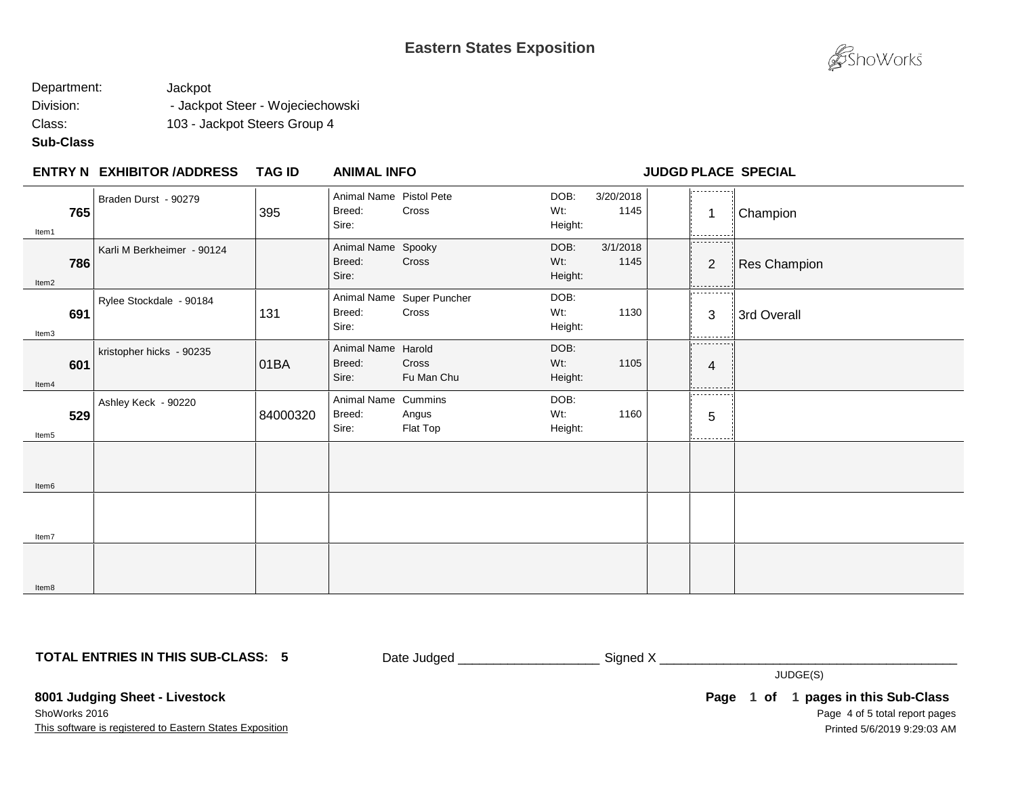

## Department: Jackpot Division: - Jackpot Steer - Wojeciechowski Class: 103 - Jackpot Steers Group 4

### **Sub-Class**

#### **EXHIBITOR /ADDRESS TAG ID ENTRY N ANIMAL INFO JUDGD PLACE SPECIAL**

| Item1 | 765 | Braden Durst - 90279       | 395      | Animal Name Pistol Pete<br>Breed:<br>Sire: | Cross                              | DOB:<br>Wt:<br>Height: | 3/20/2018<br>1145 | .<br>1<br>.                      | Champion     |
|-------|-----|----------------------------|----------|--------------------------------------------|------------------------------------|------------------------|-------------------|----------------------------------|--------------|
| Item2 | 786 | Karli M Berkheimer - 90124 |          | Animal Name Spooky<br>Breed:<br>Sire:      | Cross                              | DOB:<br>Wt:<br>Height: | 3/1/2018<br>1145  | ----------<br>$\overline{2}$<br> | Res Champion |
| Item3 | 691 | Rylee Stockdale - 90184    | 131      | Breed:<br>Sire:                            | Animal Name Super Puncher<br>Cross | DOB:<br>Wt:<br>Height: | 1130              | ----------<br>3<br>              | 3rd Overall  |
| Item4 | 601 | kristopher hicks - 90235   | 01BA     | Animal Name Harold<br>Breed:<br>Sire:      | Cross<br>Fu Man Chu                | DOB:<br>Wt:<br>Height: | 1105              | .<br>4<br>.                      |              |
| Item5 | 529 | Ashley Keck - 90220        | 84000320 | Animal Name Cummins<br>Breed:<br>Sire:     | Angus<br>Flat Top                  | DOB:<br>Wt:<br>Height: | 1160              | .<br>5                           |              |
| Item6 |     |                            |          |                                            |                                    |                        |                   |                                  |              |
| Item7 |     |                            |          |                                            |                                    |                        |                   |                                  |              |
| Item8 |     |                            |          |                                            |                                    |                        |                   |                                  |              |

**TOTAL ENTRIES IN THIS SUB-CLASS: 5**

Date Judged \_\_\_\_\_\_\_\_\_\_\_\_\_\_\_\_\_\_\_\_\_\_\_\_\_\_\_ Signed X \_\_\_\_\_\_\_\_\_\_\_\_\_\_\_\_\_\_\_\_\_\_\_\_\_\_\_\_\_\_\_

JUDGE(S)

**8001 Judging Sheet - Livestock**

This software is registered to Eastern States Exposition ShoWorks 2016

Page 4 of 5 total report pages Page 1 of 1 pages in this Sub-Class Printed 5/6/2019 9:29:03 AM